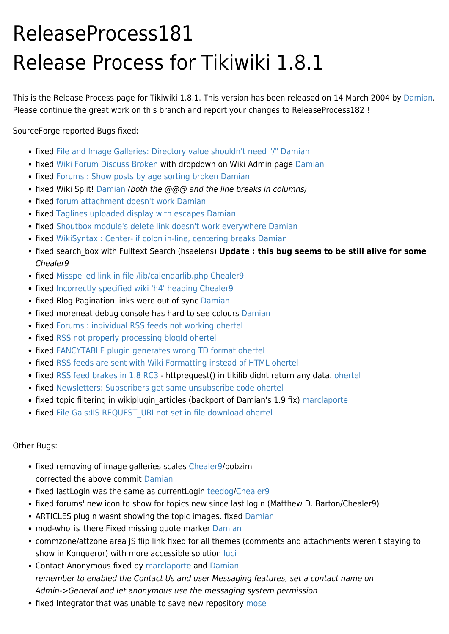## ReleaseProcess181 Release Process for Tikiwiki 1.8.1

This is the Release Process page for Tikiwiki 1.8.1. This version has been released on 14 March 2004 by [Damian.](https://tiki.org/UserPageDamian) Please continue the great work on this branch and report your changes to ReleaseProcess182 !

SourceForge reported Bugs fixed:

- fixed [File and Image Galleries: Directory value shouldn't need "/"](http://sourceforge.net/tracker/?group_id=64258&atid=506846&func=detail&aid=780541) [Damian](https://tiki.org/UserPageDamian)
- fixed [Wiki Forum Discuss Broken](http://sourceforge.net/tracker/index.php?func=detail&aid=893015&group_id=64258&atid=506846) with dropdown on Wiki Admin page [Damian](https://tiki.org/UserPageDamian)
- fixed [Forums : Show posts by age sorting broken](http://sourceforge.net/tracker/index.php?func=detail&aid=892415&group_id=64258&atid=506846) [Damian](https://tiki.org/UserPageDamian)
- fixed Wiki Split! [Damian](https://tiki.org/UserPageDamian) (both the @@@ and the line breaks in columns)
- fixed [forum attachment doesn't work](http://sourceforge.net/tracker/?group_id=64258&atid=506846&func=detail&aid=892328) [Damian](https://tiki.org/UserPageDamian)
- fixed [Taglines uploaded display with escapes](http://sourceforge.net/tracker/?group_id=64258&atid=506846&func=detail&aid=893115) [Damian](https://tiki.org/UserPageDamian)
- fixed [Shoutbox module's delete link doesn't work everywhere](http://sourceforge.net/tracker/index.php?func=detail&aid=892571&group_id=64258&atid=506846) [Damian](https://tiki.org/UserPageDamian)
- fixed [WikiSyntax : Center- if colon in-line, centering breaks](https://sourceforge.net/tracker/?group_id=64258&atid=506846&func=https://sourceforge.net/tracker/?group_id=64258&atid=506846&func=detail&aid=876224) [Damian](https://tiki.org/UserPageDamian)
- fixed search box with Fulltext Search (hsaelens) Update : this bug seems to be still alive for some Chealer9
- fixed [Misspelled link in file /lib/calendarlib.php](https://sourceforge.net/tracker/index.php?func=detail&aid=900767&group_id=64258&atid=506846) [Chealer9](https://tiki.org/UserPageChealer9)
- fixed [Incorrectly specified wiki 'h4' heading](https://sourceforge.net/tracker/index.php?func=detail&aid=903037&group_id=64258&atid=506846) [Chealer9](https://tiki.org/UserPageChealer9)
- fixed Blog Pagination links were out of sync [Damian](https://tiki.org/UserPageDamian)
- fixed moreneat debug console has hard to see colours [Damian](https://tiki.org/UserPageDamian)
- fixed [Forums : individual RSS feeds not working](http://sourceforge.net/tracker/index.php?func=detail&aid=849077&group_id=64258&atid=506846) [ohertel](https://tiki.org/UserPageohertel)
- fixed [RSS not properly processing blogId](http://sourceforge.net/tracker/index.php?func=detail&aid=897265&group_id=64258&atid=506846) [ohertel](https://tiki.org/UserPageohertel)
- fixed [FANCYTABLE plugin generates wrong TD format](http://sourceforge.net/tracker/index.php?func=detail&aid=820815&group_id=64258&atid=506846) [ohertel](https://tiki.org/UserPageohertel)
- fixed [RSS feeds are sent with Wiki Formatting instead of HTML](http://sourceforge.net/tracker/index.php?func=detail&aid=898395&group_id=64258&atid=506846) [ohertel](https://tiki.org/UserPageohertel)
- fixed [RSS feed brakes in 1.8 RC3](http://sourceforge.net/tracker/index.php?func=detail&aid=891957&group_id=64258&atid=506846) httprequest() in tikilib didnt return any data. [ohertel](https://tiki.org/UserPageohertel)
- fixed [Newsletters: Subscribers get same unsubscribe code](http://sourceforge.net/tracker/index.php?func=detail&aid=756751&group_id=64258&atid=506846) [ohertel](https://tiki.org/UserPageohertel)
- fixed topic filtering in wikiplugin articles (backport of Damian's 1.9 fix) [marclaporte](https://tiki.org/UserPagemarclaporte)
- fixed [File Gals:IIS REQUEST\\_URI not set in file download](http://sourceforge.net/tracker/index.php?func=detail&aid=760222&group_id=64258&atid=506846) [ohertel](https://tiki.org/UserPageohertel)

Other Bugs:

- fixed removing of image galleries scales [Chealer9](https://tiki.org/UserPageChealer9)/bobzim corrected the above commit [Damian](https://tiki.org/UserPageDamian)
- fixed lastLogin was the same as currentLogin [teedog/](https://tiki.org/UserPageTerence)[Chealer9](https://tiki.org/UserPageChealer9)
- fixed forums' new icon to show for topics new since last login (Matthew D. Barton/Chealer9)
- ARTICLES plugin wasnt showing the topic images. fixed [Damian](https://tiki.org/UserPageDamian)
- mod-who is there Fixed missing quote marker [Damian](https://tiki.org/UserPageDamian)
- commzone/attzone area JS flip link fixed for all themes (comments and attachments weren't staying to show in Konqueror) with more accessible solution [luci](https://tiki.org/UserPageluci)
- Contact Anonymous fixed by [marclaporte](https://tiki.org/UserPagemarclaporte) and [Damian](https://tiki.org/UserPageDamian) remember to enabled the Contact Us and user Messaging features, set a contact name on Admin->General and let anonymous use the messaging system permission
- fixed Integrator that was unable to save new repository [mose](https://tiki.org/mose)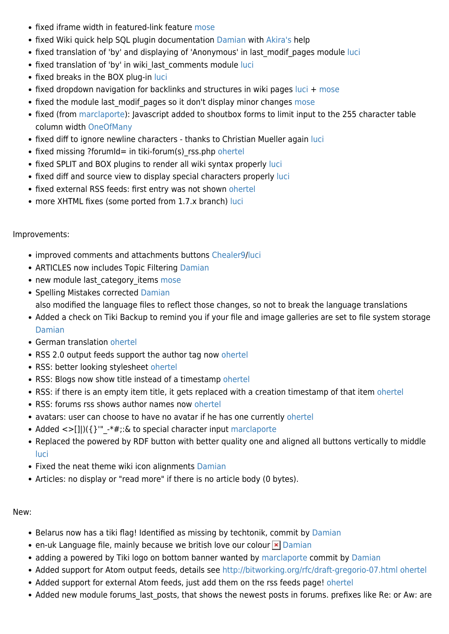- fixed iframe width in featured-link feature [mose](https://tiki.org/mose)
- fixed Wiki quick help SQL plugin documentation [Damian](https://tiki.org/UserPageDamian) with [Akira's](https://tiki.org/UserPageakira) help
- fixed translation of 'by' and displaying of 'Anonymous' in last modif pages module [luci](https://tiki.org/UserPageluci)
- fixed translation of 'by' in wiki last comments module [luci](https://tiki.org/UserPageluci)
- fixed breaks in the BOX plug-in [luci](https://tiki.org/UserPageluci)
- fixed dropdown navigation for backlinks and structures in wiki pages [luci](https://tiki.org/UserPageluci) + [mose](https://tiki.org/mose)
- fixed the module last modif pages so it don't display minor changes [mose](https://tiki.org/mose)
- fixed (from [marclaporte](https://tiki.org/UserPagemarclaporte)): Javascript added to shoutbox forms to limit input to the 255 character table column width [OneOfMany](https://tiki.org/UserPageOneOfMany)
- fixed diff to ignore newline characters thanks to Christian Mueller again [luci](https://tiki.org/UserPageluci)
- fixed missing ?forumId= in tiki-forum(s) rss.php [ohertel](https://tiki.org/UserPageohertel)
- fixed SPLIT and BOX plugins to render all wiki syntax properly [luci](https://tiki.org/UserPageluci)
- fixed diff and source view to display special characters properly [luci](https://tiki.org/UserPageluci)
- fixed external RSS feeds: first entry was not shown [ohertel](https://tiki.org/UserPageohertel)
- more XHTML fixes (some ported from 1.7.x branch) [luci](https://tiki.org/UserPageluci)

## Improvements:

- improved comments and attachments buttons [Chealer9/](https://tiki.org/UserPageChealer9)[luci](https://tiki.org/UserPageluci)
- ARTICLES now includes Topic Filtering [Damian](https://tiki.org/UserPageDamian)
- new module last category items [mose](https://tiki.org/mose)
- Spelling Mistakes corrected [Damian](https://tiki.org/UserPageDamian) also modified the language files to reflect those changes, so not to break the language translations
- Added a check on Tiki Backup to remind you if your file and image galleries are set to file system storage [Damian](https://tiki.org/UserPageDamian)
- German translation [ohertel](https://tiki.org/UserPageohertel)
- RSS 2.0 output feeds support the author tag now [ohertel](https://tiki.org/UserPageohertel)
- RSS: better looking stylesheet [ohertel](https://tiki.org/UserPageohertel)
- RSS: Blogs now show title instead of a timestamp [ohertel](https://tiki.org/UserPageohertel)
- RSS: if there is an empty item title, it gets replaced with a creation timestamp of that item [ohertel](https://tiki.org/UserPageohertel)
- RSS: forums rss shows author names now [ohertel](https://tiki.org/UserPageohertel)
- avatars: user can choose to have no avatar if he has one currently [ohertel](https://tiki.org/UserPageohertel)
- Added <>[]])({}"" -\*#;:& to special character input [marclaporte](https://tiki.org/UserPagemarclaporte)
- Replaced the powered by RDF button with better quality one and aligned all buttons vertically to middle [luci](https://tiki.org/UserPageluci)
- Fixed the neat theme wiki icon alignments [Damian](https://tiki.org/UserPageDamian)
- Articles: no display or "read more" if there is no article body (0 bytes).

## New:

- Belarus now has a tiki flag! Identified as missing by techtonik, commit by [Damian](https://tiki.org/UserPageDamian)
- en-uk Language file, mainly because we british love our colour  $\mathbf{\times}$  [Damian](https://tiki.org/UserPageDamian)
- adding a powered by Tiki logo on bottom banner wanted by [marclaporte](https://tiki.org/UserPagemarclaporte) commit by [Damian](https://tiki.org/UserPageDamian)
- Added support for Atom output feeds, details see<http://bitworking.org/rfc/draft-gregorio-07.html> [ohertel](https://tiki.org/UserPageohertel)
- Added support for external Atom feeds, just add them on the rss feeds page! [ohertel](https://tiki.org/UserPageohertel)
- Added new module forums last posts, that shows the newest posts in forums. prefixes like Re: or Aw: are